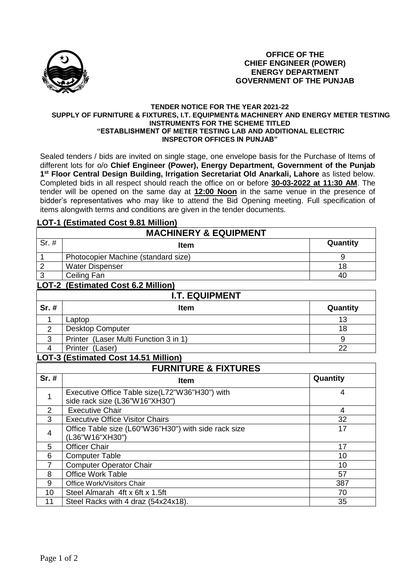

### **OFFICE OF THE CHIEF ENGINEER (POWER) ENERGY DEPARTMENT GOVERNMENT OF THE PUNJAB**

#### **TENDER NOTICE FOR THE YEAR 2021-22 SUPPLY OF FURNITURE & FIXTURES, I.T. EQUIPMENT& MACHINERY AND ENERGY METER TESTING INSTRUMENTS FOR THE SCHEME TITLED "ESTABLISHMENT OF METER TESTING LAB AND ADDITIONAL ELECTRIC INSPECTOR OFFICES IN PUNJAB"**

Sealed tenders / bids are invited on single stage, one envelope basis for the Purchase of Items of different lots for o/o **Chief Engineer (Power), Energy Department, Government of the Punjab 1 st Floor Central Design Building, Irrigation Secretariat Old Anarkali, Lahore** as listed below. Completed bids in all respect should reach the office on or before **30-03-2022 at 11:30 AM**. The tender will be opened on the same day at **12:00 Noon** in the same venue in the presence of bidder's representatives who may like to attend the Bid Opening meeting. Full specification of items alongwith terms and conditions are given in the tender documents.

### **LOT-1 (Estimated Cost 9.81 Million)**

| <b>MACHINERY &amp; EQUIPMENT</b> |                                       |          |  |  |
|----------------------------------|---------------------------------------|----------|--|--|
| $Sr.$ #                          | <b>Item</b>                           | Quantity |  |  |
| $\overline{1}$                   | Photocopier Machine (standard size)   | 9        |  |  |
| $\overline{2}$                   | <b>Water Dispenser</b>                | 18       |  |  |
| $\overline{3}$                   | Ceiling Fan                           | 40       |  |  |
|                                  | LOT-2 (Estimated Cost 6.2 Million)    |          |  |  |
| <b>I.T. EQUIPMENT</b>            |                                       |          |  |  |
|                                  |                                       |          |  |  |
| Sr. #                            | <b>Item</b>                           | Quantity |  |  |
|                                  | Laptop                                | 13       |  |  |
| 2                                | <b>Desktop Computer</b>               | 18       |  |  |
| 3                                | Printer (Laser Multi Function 3 in 1) | 9        |  |  |

# **LOT-3 (Estimated Cost 14.51 Million)**

| <b>FURNITURE &amp; FIXTURES</b> |                                                                                  |          |  |  |
|---------------------------------|----------------------------------------------------------------------------------|----------|--|--|
| $Sr.$ #                         | <b>Item</b>                                                                      | Quantity |  |  |
|                                 | Executive Office Table size(L72"W36"H30") with<br>side rack size (L36"W16"XH30") | 4        |  |  |
| $\mathcal{P}$                   | <b>Executive Chair</b>                                                           | 4        |  |  |
| 3                               | <b>Executive Office Visitor Chairs</b>                                           | 32       |  |  |
| 4                               | Office Table size (L60"W36"H30") with side rack size<br>(L36"W16"XH30")          | 17       |  |  |
| 5                               | <b>Officer Chair</b>                                                             | 17       |  |  |
| 6                               | <b>Computer Table</b>                                                            | 10       |  |  |
| $\overline{7}$                  | <b>Computer Operator Chair</b>                                                   | 10       |  |  |
| 8                               | <b>Office Work Table</b>                                                         | 57       |  |  |
| 9                               | Office Work/Visitors Chair                                                       | 387      |  |  |
| 10                              | Steel Almarah 4ft x 6ft x 1.5ft                                                  | 70       |  |  |
| 11                              | Steel Racks with 4 draz (54x24x18).                                              | 35       |  |  |